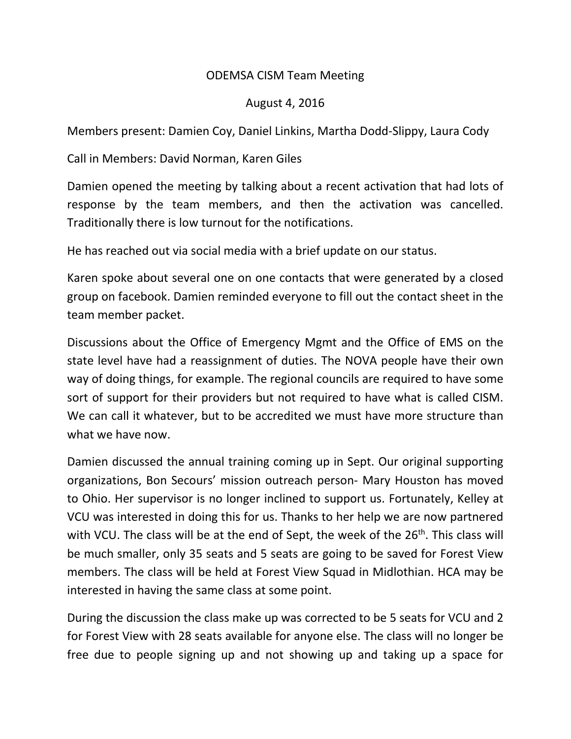## ODEMSA CISM Team Meeting

## August 4, 2016

Members present: Damien Coy, Daniel Linkins, Martha Dodd-Slippy, Laura Cody

Call in Members: David Norman, Karen Giles

Damien opened the meeting by talking about a recent activation that had lots of response by the team members, and then the activation was cancelled. Traditionally there is low turnout for the notifications.

He has reached out via social media with a brief update on our status.

Karen spoke about several one on one contacts that were generated by a closed group on facebook. Damien reminded everyone to fill out the contact sheet in the team member packet.

Discussions about the Office of Emergency Mgmt and the Office of EMS on the state level have had a reassignment of duties. The NOVA people have their own way of doing things, for example. The regional councils are required to have some sort of support for their providers but not required to have what is called CISM. We can call it whatever, but to be accredited we must have more structure than what we have now.

Damien discussed the annual training coming up in Sept. Our original supporting organizations, Bon Secours' mission outreach person- Mary Houston has moved to Ohio. Her supervisor is no longer inclined to support us. Fortunately, Kelley at VCU was interested in doing this for us. Thanks to her help we are now partnered with VCU. The class will be at the end of Sept, the week of the  $26<sup>th</sup>$ . This class will be much smaller, only 35 seats and 5 seats are going to be saved for Forest View members. The class will be held at Forest View Squad in Midlothian. HCA may be interested in having the same class at some point.

During the discussion the class make up was corrected to be 5 seats for VCU and 2 for Forest View with 28 seats available for anyone else. The class will no longer be free due to people signing up and not showing up and taking up a space for